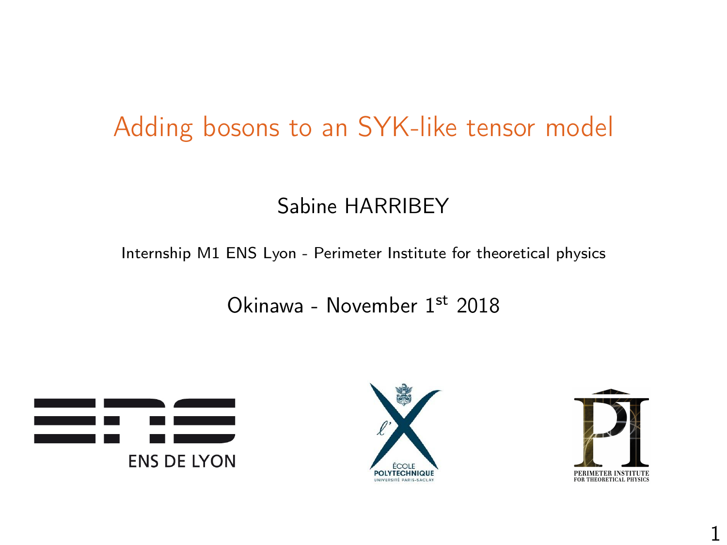# Adding bosons to an SYK-like tensor model

#### Sabine HARRIBEY

Internship M1 ENS Lyon - Perimeter Institute for theoretical physics

Okinawa - November 1st 2018





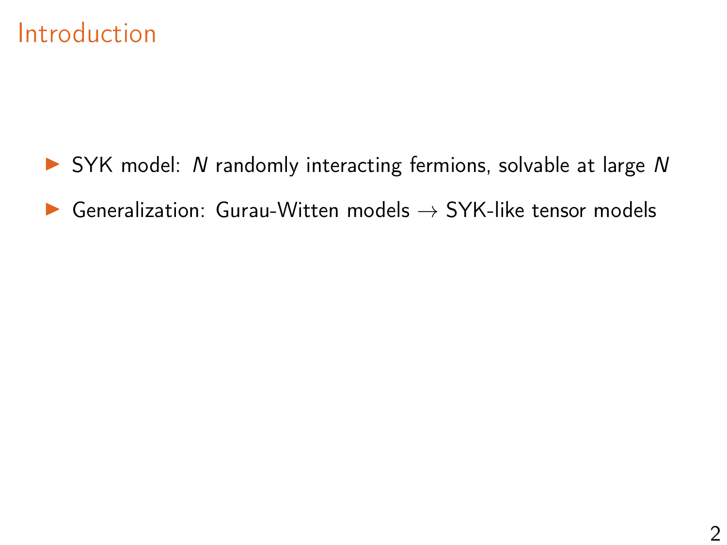#### Introduction

 $\triangleright$  SYK model: N randomly interacting fermions, solvable at large N  $\triangleright$  Generalization: Gurau-Witten models  $\rightarrow$  SYK-like tensor models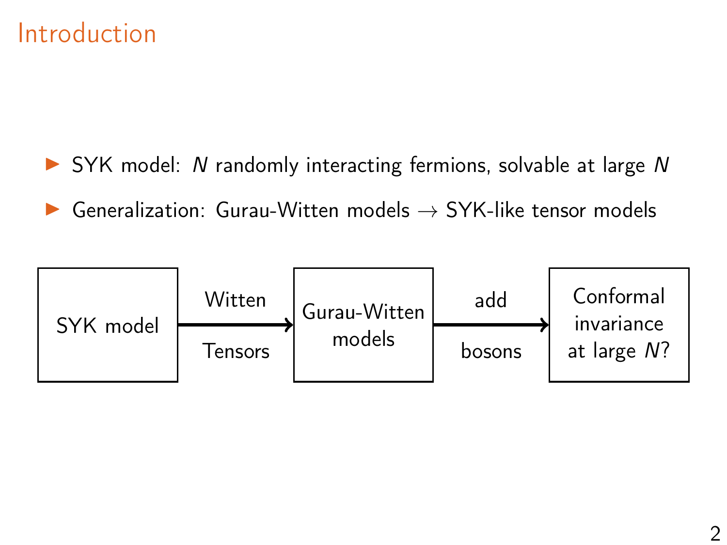#### Introduction

 $\triangleright$  SYK model: N randomly interacting fermions, solvable at large N Generalization: Gurau-Witten models  $\rightarrow$  SYK-like tensor models

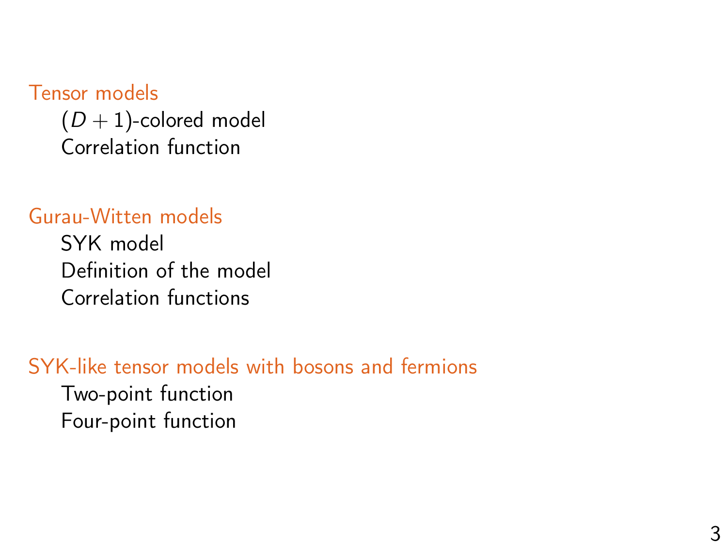#### [Tensor models](#page-4-0)

 $(D+1)$ [-colored model](#page-4-0) [Correlation function](#page-8-0)

#### [Gurau-Witten models](#page-11-0)

[SYK model](#page-11-0) [Definition of the model](#page-13-0) [Correlation functions](#page-14-0)

#### [SYK-like tensor models with bosons and fermions](#page-23-0)

[Two-point function](#page-23-0) [Four-point function](#page-31-0)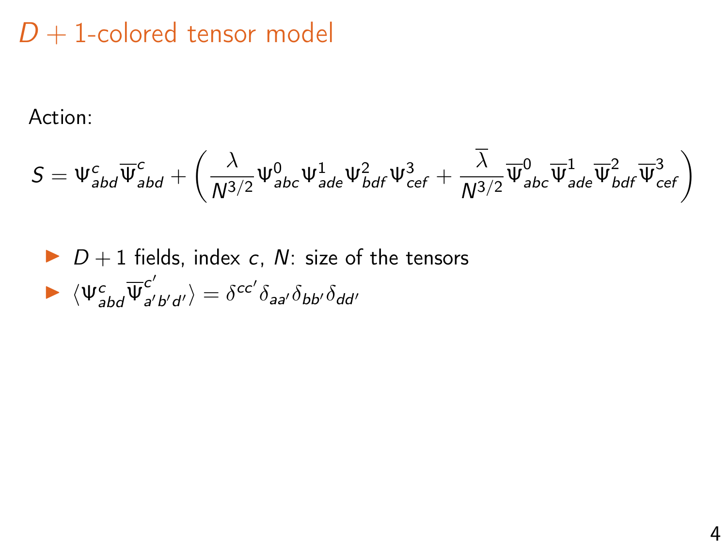# <span id="page-4-0"></span> $D + 1$ -colored tensor model

Action:

$$
S=\Psi_{abd}^c\overline{\Psi}_{abd}^c+\left(\frac{\lambda}{N^{3/2}}\Psi_{abc}^0\Psi_{ade}^1\Psi_{bdf}^2\Psi_{cef}^3+\frac{\overline{\lambda}}{N^{3/2}}\overline{\Psi}_{abc}^0\overline{\Psi}_{ade}^1\overline{\Psi}_{bdf}^2\overline{\Psi}_{cef}^3\right)
$$

\n- $$
D + 1
$$
 fields, index *c*, *N*: size of the tensors
\n- $\langle \Psi_{abd}^c \overline{\Psi}_{a'b'd'}^{c'} \rangle = \delta^{cc'} \delta_{aa'} \delta_{bb'} \delta_{dd'}$
\n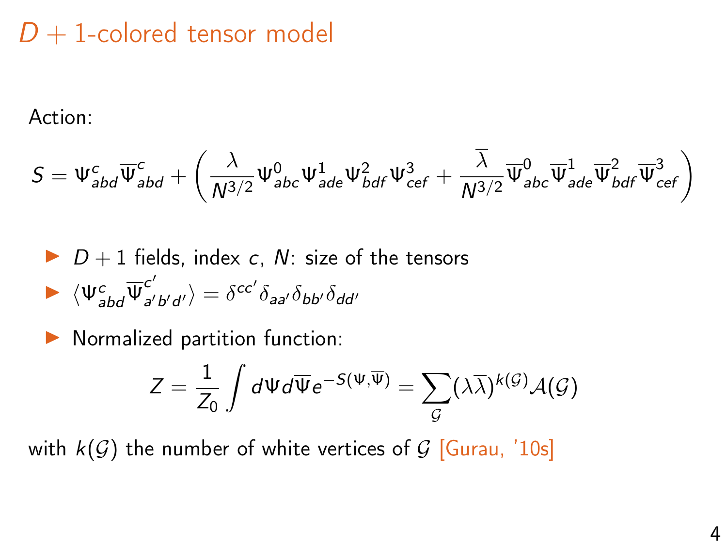## $D + 1$ -colored tensor model

Action:

$$
S=\Psi_{abd}^c\overline{\Psi}_{abd}^c+\left(\frac{\lambda}{N^{3/2}}\Psi_{abc}^0\Psi_{ade}^1\Psi_{bdf}^2\Psi_{cef}^3+\frac{\overline{\lambda}}{N^{3/2}}\overline{\Psi}_{abc}^0\overline{\Psi}_{ade}^1\overline{\Psi}_{bdf}^2\overline{\Psi}_{cef}^3\right)
$$

\n- $$
D + 1
$$
 fields, index *c*, *N*: size of the tensors
\n- $\langle \Psi_{abd}^c \overline{\Psi}_{a'b'd'}^{c'} \rangle = \delta^{cc'} \delta_{aa'} \delta_{bb'} \delta_{dd'}$
\n

 $\blacktriangleright$  Normalized partition function:

$$
Z = \frac{1}{Z_0} \int d\Psi d\overline{\Psi} e^{-S(\Psi,\overline{\Psi})} = \sum_{\mathcal{G}} (\lambda \overline{\lambda})^{k(\mathcal{G})} \mathcal{A}(\mathcal{G})
$$

with  $k(G)$  the number of white vertices of G [Gurau, '10s]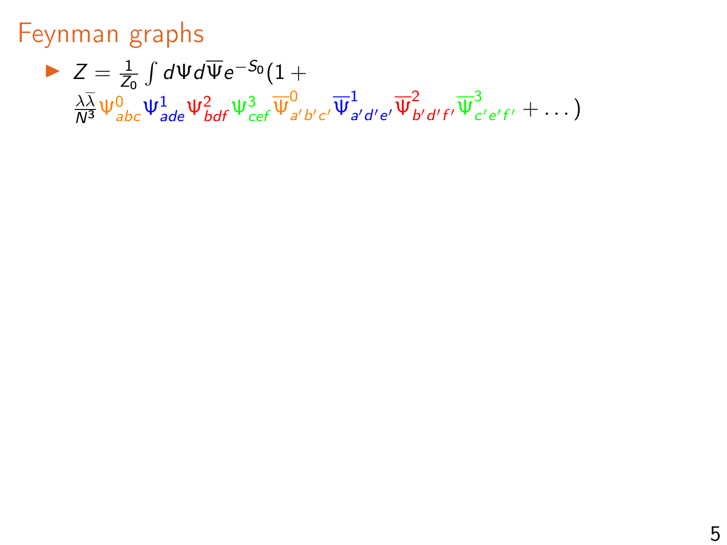#### Feynman graphs

 $Z = \frac{1}{Z_0} \int d\Psi d\overline{\Psi} e^{-S_0} (1 +$  $\frac{\lambda\overline{\lambda}}{N^3}\psi^0_{abc}\psi^1_{ade}\psi^2_{bdf}\psi^3_{cef}\overline{\psi}^0_a$  $_{a^{\prime}b^{\prime}c^{\prime}}^{0}\overline{\Psi }_{a}^{1}$  $\frac{1}{a'd'e'}\overline{\Psi}_b^2$  $\frac{2}{b'd'f'}\overline{\Psi}_{c}^{3}$  $\frac{c}{c'}e'f' + \dots$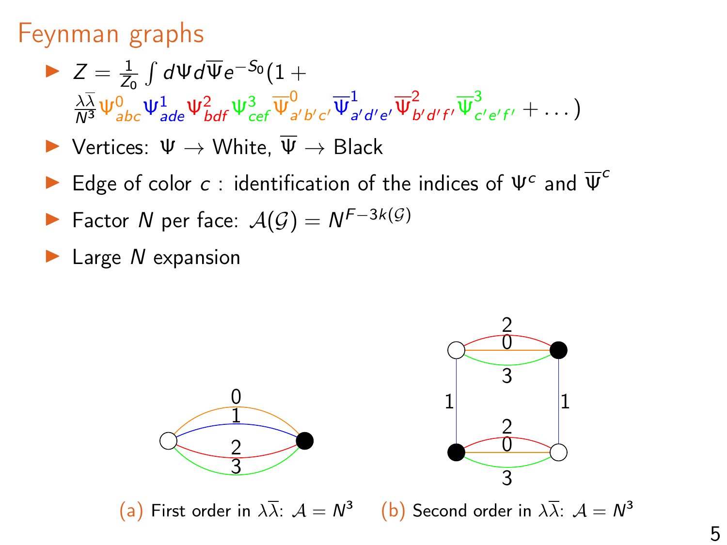#### Feynman graphs

- $Z = \frac{1}{Z_0} \int d\Psi d\overline{\Psi} e^{-S_0} (1 +$  $\frac{\lambda\overline{\lambda}}{N^3}\psi^0_{abc}\psi^1_{ade}\psi^2_{bdf}\psi^3_{cef}\overline{\psi}^0_a$  $_{a^{\prime}b^{\prime}c^{\prime}}^{0}\overline{\Psi }_{a}^{1}$  $\frac{1}{a'd'e'}\overline{\Psi}_b^2$  $\frac{2}{b'd'f'}\overline{\Psi}_{c}^{3}$  $\frac{c}{c'}e'f' + \dots$
- $\triangleright$  Vertices: Ψ → White,  $\overline{\Psi}$  → Black
- Edge of color  $c$ : identification of the indices of  $\Psi^c$  and  $\overline{\Psi}^c$
- ► Factor N per face:  $\mathcal{A}(\mathcal{G}) = N^{F-3k(\mathcal{G})}$
- $\blacktriangleright$  Large N expansion

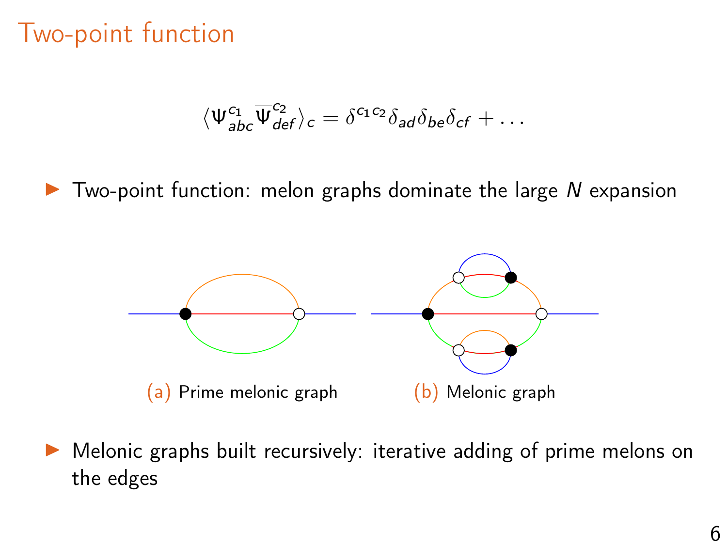$$
\langle \Psi^{c_1}_{\textit{abc}} \overline{\Psi}^{c_2}_{\textit{def}} \rangle_c = \delta^{c_1 c_2} \delta_{\textit{ad}} \delta_{\textit{be}} \delta_{\textit{cf}} + \ldots
$$

<span id="page-8-0"></span> $\triangleright$  Two-point function: melon graphs dominate the large N expansion



 $\triangleright$  Melonic graphs built recursively: iterative adding of prime melons on the edges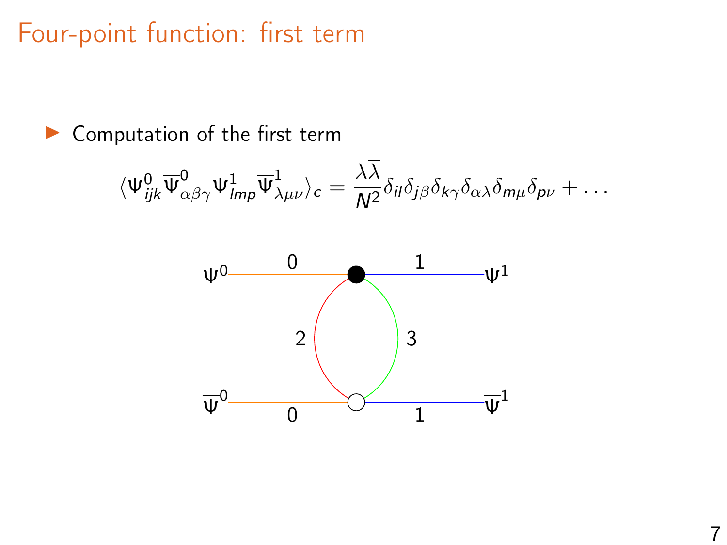Four-point function: first term

 $\blacktriangleright$  Computation of the first term

$$
\langle \Psi_{ijk}^0 \overline{\Psi}^0_{\alpha\beta\gamma} \Psi_{lmp}^1 \overline{\Psi}^1_{\lambda\mu\nu} \rangle_c = \frac{\lambda\overline{\lambda}}{N^2} \delta_{il} \delta_{j\beta} \delta_{k\gamma} \delta_{\alpha\lambda} \delta_{m\mu} \delta_{p\nu} + \dots
$$

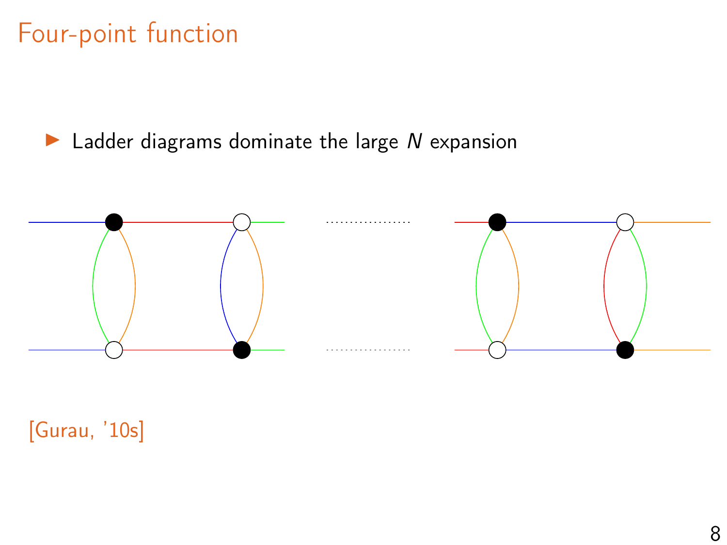# Four-point function

 $\blacktriangleright$  Ladder diagrams dominate the large N expansion



[Gurau, '10s]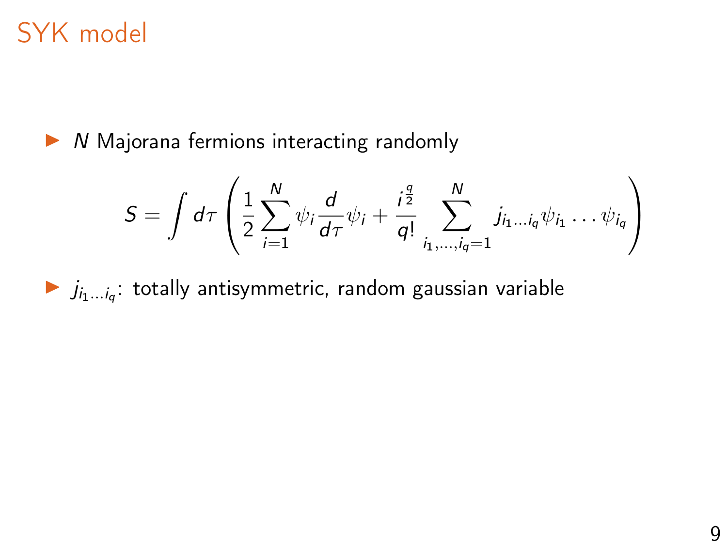# <span id="page-11-0"></span>SYK model

 $\triangleright$  N Majorana fermions interacting randomly

$$
S = \int d\tau \left( \frac{1}{2} \sum_{i=1}^N \psi_i \frac{d}{d\tau} \psi_i + \frac{i^{\frac{q}{2}}}{q!} \sum_{i_1, \dots, i_q=1}^N j_{i_1 \dots i_q} \psi_{i_1} \dots \psi_{i_q} \right)
$$

 $j_{i_1...i_q}$ : totally antisymmetric, random gaussian variable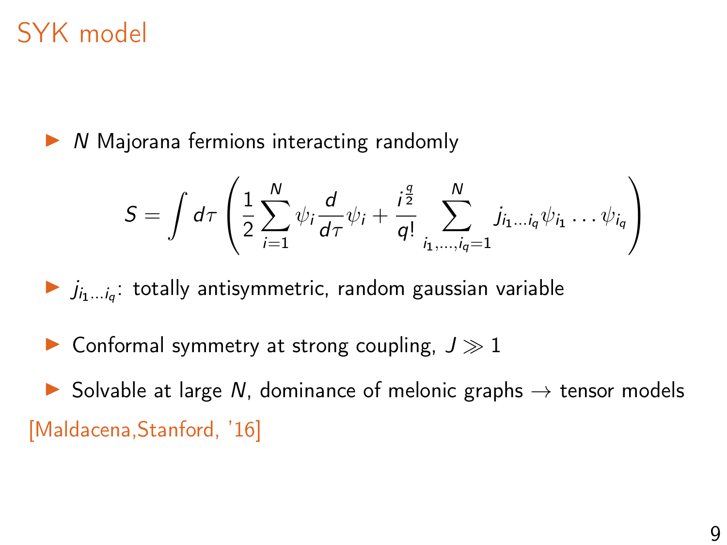# SYK model

 $\triangleright$  N Majorana fermions interacting randomly

$$
S = \int d\tau \left( \frac{1}{2} \sum_{i=1}^N \psi_i \frac{d}{d\tau} \psi_i + \frac{i^{\frac{q}{2}}}{q!} \sum_{i_1, \dots, i_q=1}^N j_{i_1 \dots i_q} \psi_{i_1} \dots \psi_{i_q} \right)
$$

 $j_{i_1...i_q}$ : totally antisymmetric, random gaussian variable

 $\blacktriangleright$  Conformal symmetry at strong coupling,  $J \gg 1$ 

 $\triangleright$  Solvable at large N, dominance of melonic graphs  $\rightarrow$  tensor models [Maldacena,Stanford, '16]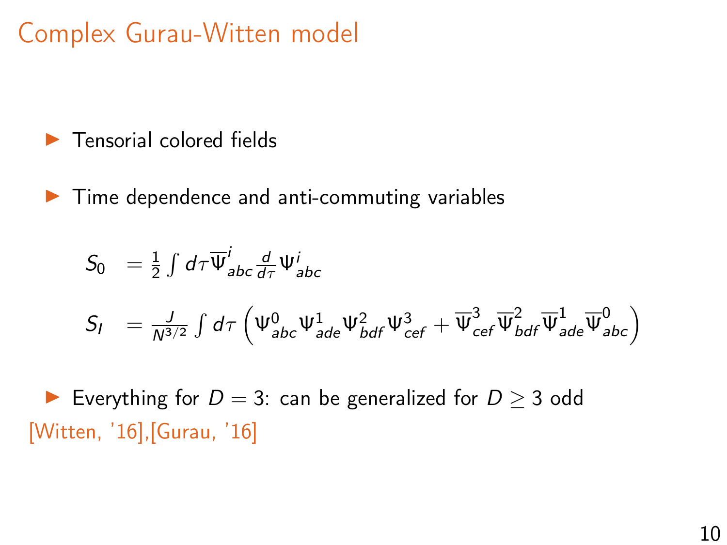# <span id="page-13-0"></span>Complex Gurau-Witten model

- $\blacktriangleright$  Tensorial colored fields
- $\blacktriangleright$  Time dependence and anti-commuting variables

$$
S_0 = \frac{1}{2} \int d\tau \overline{\Psi}_{abc}^i \frac{d}{d\tau} \Psi_{abc}^i
$$
  
\n
$$
S_l = \frac{J}{N^{3/2}} \int d\tau \left( \Psi_{abc}^0 \Psi_{ade}^1 \Psi_{bdf}^2 \Psi_{cef}^3 + \overline{\Psi}_{cef}^3 \overline{\Psi}_{bdf}^2 \overline{\Psi}_{ade}^1 \overline{\Psi}_{abc}^0 \right)
$$

Everything for  $D = 3$ : can be generalized for  $D > 3$  odd [Witten, '16],[Gurau, '16]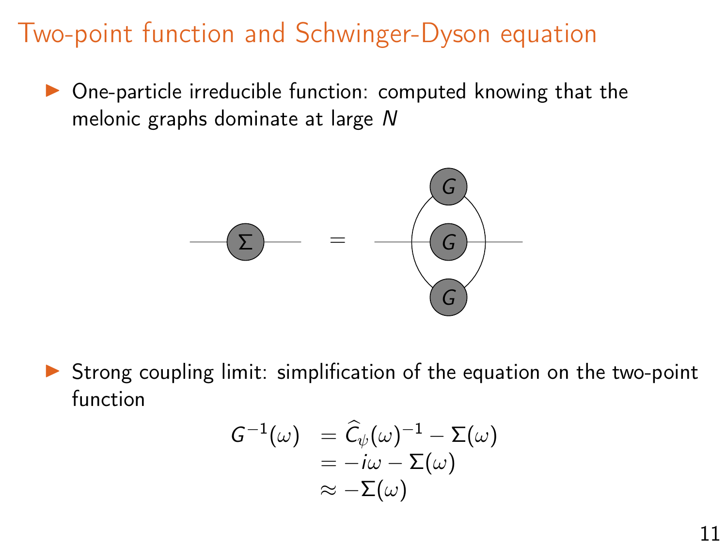### <span id="page-14-0"></span>Two-point function and Schwinger-Dyson equation

One-particle irreducible function: computed knowing that the melonic graphs dominate at large N



Strong coupling limit: simplification of the equation on the two-point function

$$
\begin{array}{ll} G^{-1}(\omega) & = \widehat{C}_{\psi}(\omega)^{-1} - \Sigma(\omega) \\ & = -i\omega - \Sigma(\omega) \\ & \approx -\Sigma(\omega) \end{array}
$$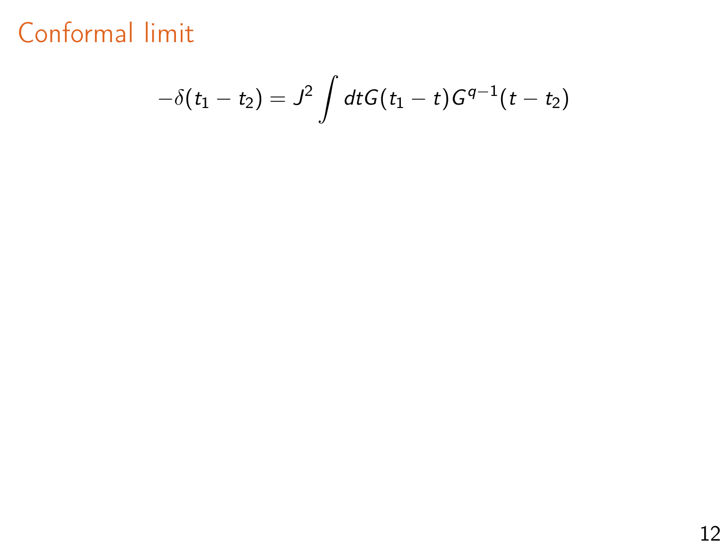$$
-\delta(t_1-t_2) = J^2 \int dt G(t_1-t)G^{q-1}(t-t_2)
$$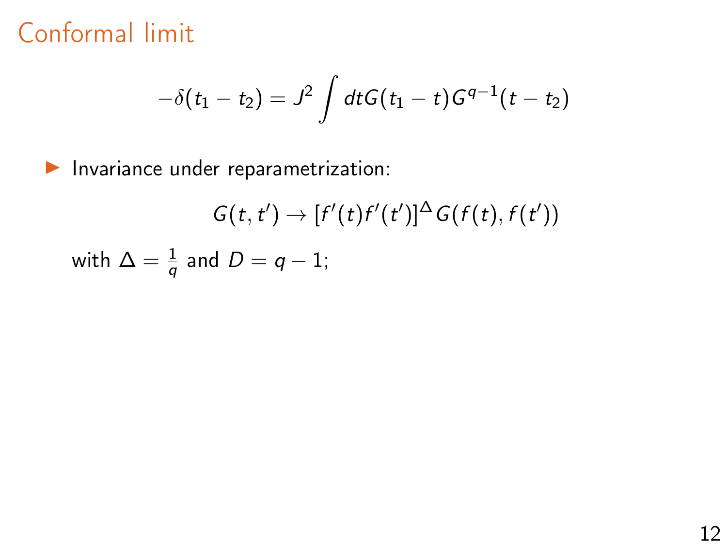$$
-\delta(t_1-t_2) = J^2 \int dt G(t_1-t)G^{q-1}(t-t_2)
$$

 $\blacktriangleright$  Invariance under reparametrization:

$$
G(t, t') \to [f'(t)f'(t')]^{\Delta} G(f(t), f(t'))
$$
  
with 
$$
\Delta = \frac{1}{q}
$$
 and 
$$
D = q - 1;
$$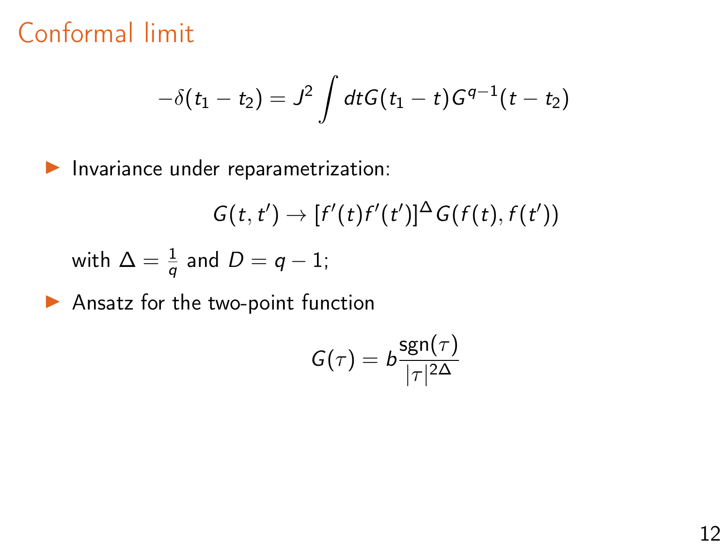$$
-\delta(t_1-t_2) = J^2 \int dt G(t_1-t)G^{q-1}(t-t_2)
$$

 $\blacktriangleright$  Invariance under reparametrization:

$$
G(t,t') \rightarrow [f'(t)f'(t')]^{\Delta} G(f(t),f(t'))
$$

with  $\Delta = \frac{1}{q}$  and  $D = q - 1$ ;

 $\blacktriangleright$  Ansatz for the two-point function

$$
G(\tau)=b\frac{\operatorname{sgn}(\tau)}{|\tau|^{2\Delta}}
$$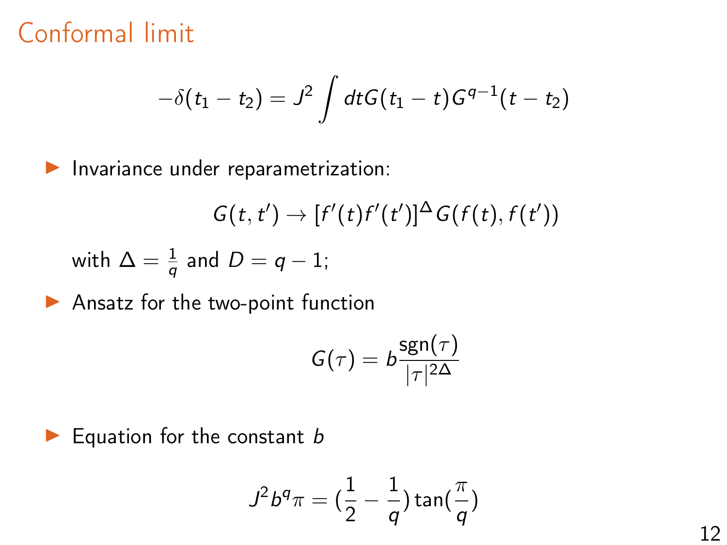$$
-\delta(t_1-t_2) = J^2 \int dt G(t_1-t)G^{q-1}(t-t_2)
$$

 $\blacktriangleright$  Invariance under reparametrization:

$$
G(t,t') \rightarrow [f'(t)f'(t')]^{\Delta} G(f(t),f(t'))
$$

with 
$$
\Delta = \frac{1}{q}
$$
 and  $D = q - 1$ ;

 $\blacktriangleright$  Ansatz for the two-point function

$$
G(\tau)=b\frac{\operatorname{sgn}(\tau)}{|\tau|^{2\Delta}}
$$

 $\blacktriangleright$  Equation for the constant b

$$
J^2 b^q \pi = \left(\frac{1}{2} - \frac{1}{q}\right) \tan\left(\frac{\pi}{q}\right)
$$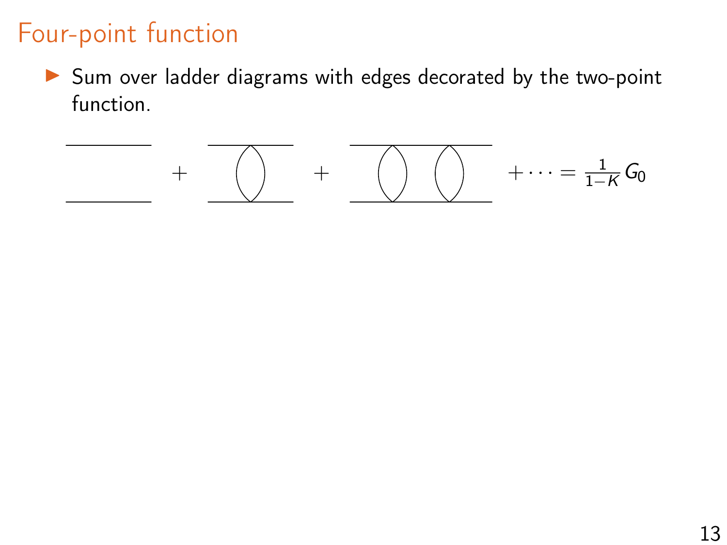# Four-point function

 $\triangleright$  Sum over ladder diagrams with edges decorated by the two-point function.

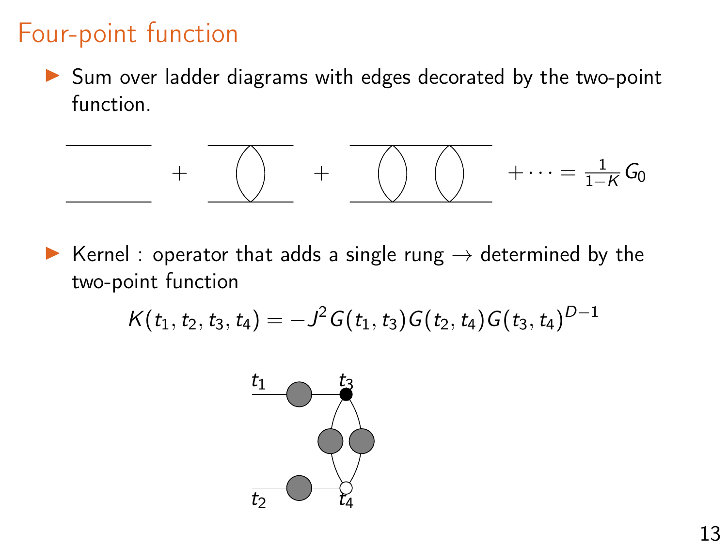#### Four-point function

 $\triangleright$  Sum over ladder diagrams with edges decorated by the two-point function.

$$
+\quad \overline{\text{ }}\quad \ \ \, +\quad \overline{\text{ }}\quad \ \ \, \text{ } \quad \ \ \, +\quad \ \ \, \overline{\text{ }}\quad \ \ \, +\cdots =\textstyle \frac{1}{1-K}\,G_0
$$

▶ Kernel : operator that adds a single rung  $→$  determined by the two-point function

$$
K(t_1,t_2,t_3,t_4)=-J^2G(t_1,t_3)G(t_2,t_4)G(t_3,t_4)^{D-1}
$$

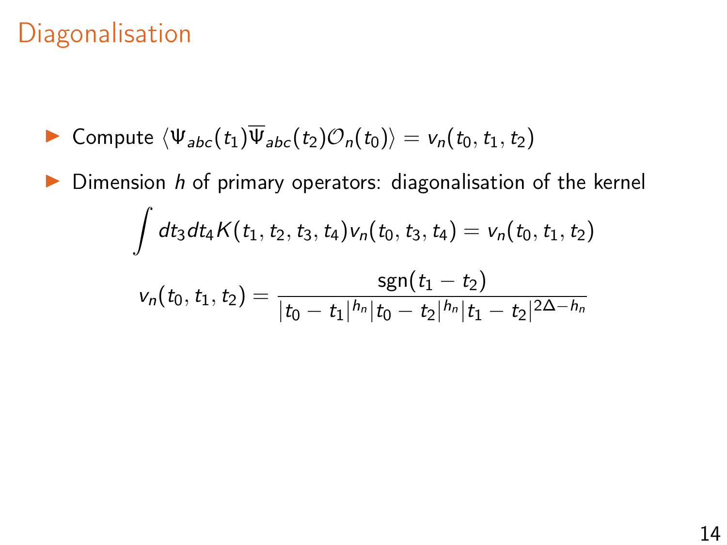# **Diagonalisation**

$$
\blacktriangleright \text{ Compute } \langle \Psi_{abc}(t_1) \overline{\Psi}_{abc}(t_2) \mathcal{O}_n(t_0) \rangle = v_n(t_0, t_1, t_2)
$$

 $\triangleright$  Dimension h of primary operators: diagonalisation of the kernel  $\int dt_3dt_4K(t_1,t_2,t_3,t_4)v_n(t_0,t_3,t_4) = v_n(t_0,t_1,t_2)$  $v_n(t_0,t_1,t_2) = \frac{\text{sgn}(t_1-t_2)}{1 + \frac{t_1 + t_2 + \dots + t_n + t_n}{1 + \dots + t_n + t_n}}$  $|t_0-t_1|^{h_n}|t_0-t_2|^{h_n}|t_1-t_2|^{2\Delta-h_n}$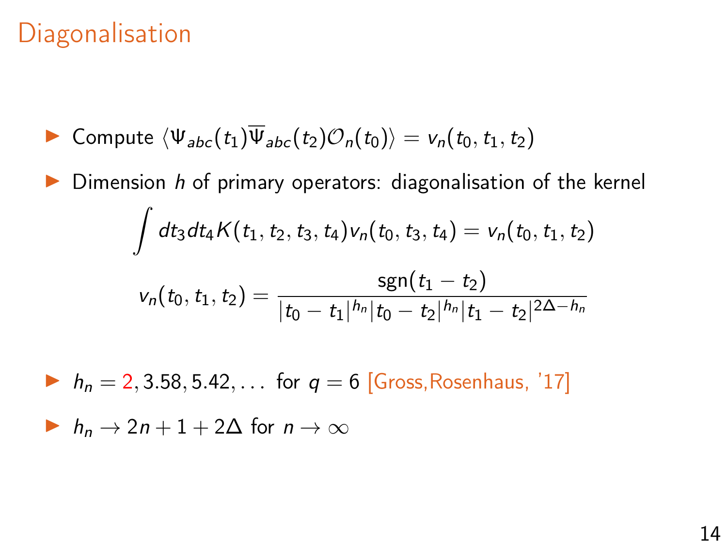### **Diagonalisation**

$$
\blacktriangleright \text{ Compute } \langle \Psi_{abc}(t_1) \overline{\Psi}_{abc}(t_2) \mathcal{O}_n(t_0) \rangle = v_n(t_0, t_1, t_2)
$$

Dimension  $h$  of primary operators: diagonalisation of the kernel  $\int dt_3dt_4K(t_1,t_2,t_3,t_4)v_n(t_0,t_3,t_4) = v_n(t_0,t_1,t_2)$  $v_n(t_0,t_1,t_2) = \frac{\text{sgn}(t_1-t_2)}{1 + \frac{t_1 + t_2 + \dots + t_n + t_n}{1 + \dots + t_n + t_n}}$  $|t_0-t_1|^{h_n}|t_0-t_2|^{h_n}|t_1-t_2|^{2\Delta-h_n}$  $h_n = 2, 3.58, 5.42, ...$  for  $q = 6$  [Gross, Rosenhaus, '17]

 $\triangleright$  h<sub>n</sub>  $\rightarrow$  2n + 1 + 2 $\Delta$  for  $n \rightarrow \infty$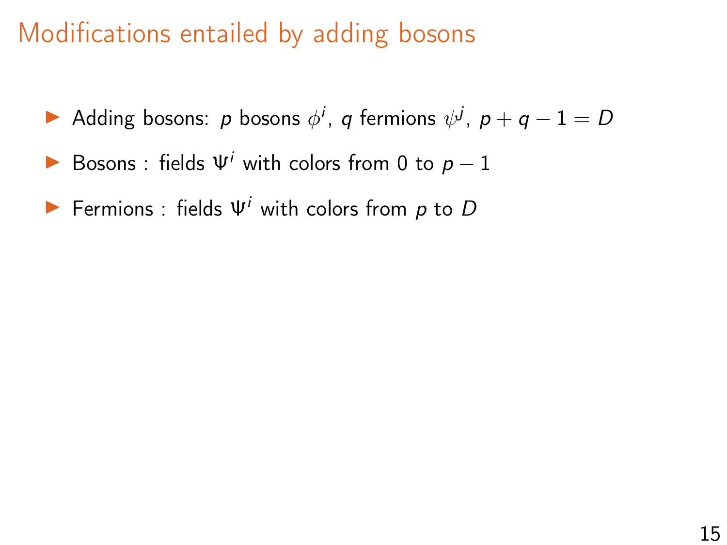# <span id="page-23-0"></span>Modifications entailed by adding bosons

- Adding bosons: p bosons  $\phi^i$ , q fermions  $\psi^j$ ,  $p + q 1 = D$
- Bosons : fields  $\Psi^{i}$  with colors from 0 to  $p-1$
- Fermions : fields  $\Psi^i$  with colors from p to D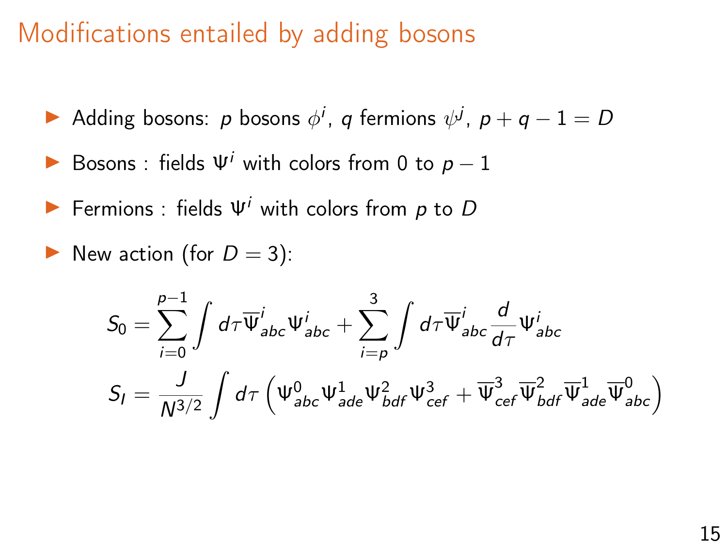#### Modifications entailed by adding bosons

- Adding bosons: p bosons  $\phi^i$ , q fermions  $\psi^j$ ,  $p + q 1 = D$
- Bosons : fields  $\Psi^{i}$  with colors from 0 to  $p-1$
- Fermions : fields  $\Psi^{i}$  with colors from p to D
- New action (for  $D = 3$ ):

$$
S_0 = \sum_{i=0}^{p-1} \int d\tau \overline{\Psi}_{abc}^i \Psi_{abc}^i + \sum_{i=p}^3 \int d\tau \overline{\Psi}_{abc}^i \frac{d}{d\tau} \Psi_{abc}^i
$$

$$
S_I = \frac{J}{N^{3/2}} \int d\tau \left( \Psi_{abc}^0 \Psi_{ade}^1 \Psi_{bdf}^2 \Psi_{cef}^3 + \overline{\Psi}_{cef}^3 \overline{\Psi}_{bdf}^2 \overline{\Psi}_{ade}^1 \overline{\Psi}_{abc}^0 \right)
$$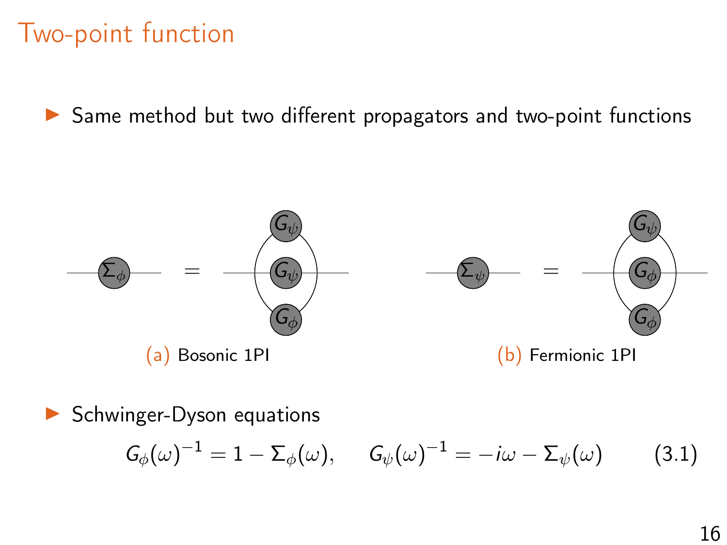▶ Same method but two different propagators and two-point functions



#### $\triangleright$  Schwinger-Dyson equations

$$
G_{\phi}(\omega)^{-1} = 1 - \Sigma_{\phi}(\omega), \qquad G_{\psi}(\omega)^{-1} = -i\omega - \Sigma_{\psi}(\omega) \tag{3.1}
$$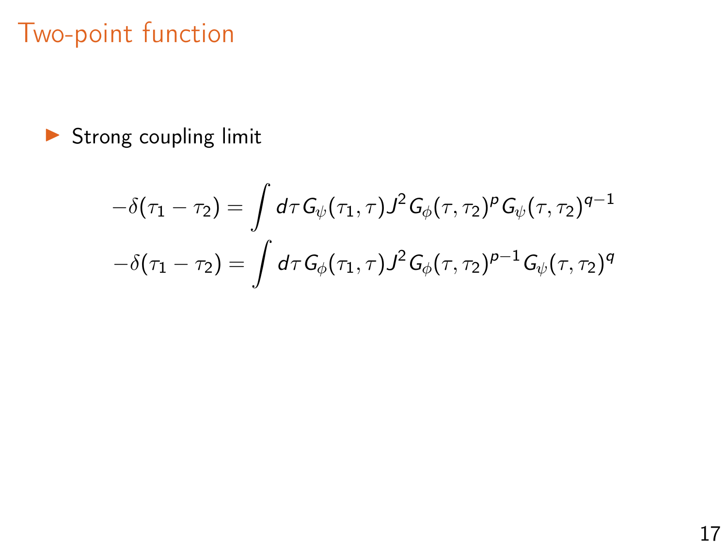$\blacktriangleright$  Strong coupling limit

$$
-\delta(\tau_1 - \tau_2) = \int d\tau G_{\psi}(\tau_1, \tau) J^2 G_{\phi}(\tau, \tau_2)^p G_{\psi}(\tau, \tau_2)^{q-1}
$$

$$
-\delta(\tau_1 - \tau_2) = \int d\tau G_{\phi}(\tau_1, \tau) J^2 G_{\phi}(\tau, \tau_2)^{p-1} G_{\psi}(\tau, \tau_2)^q
$$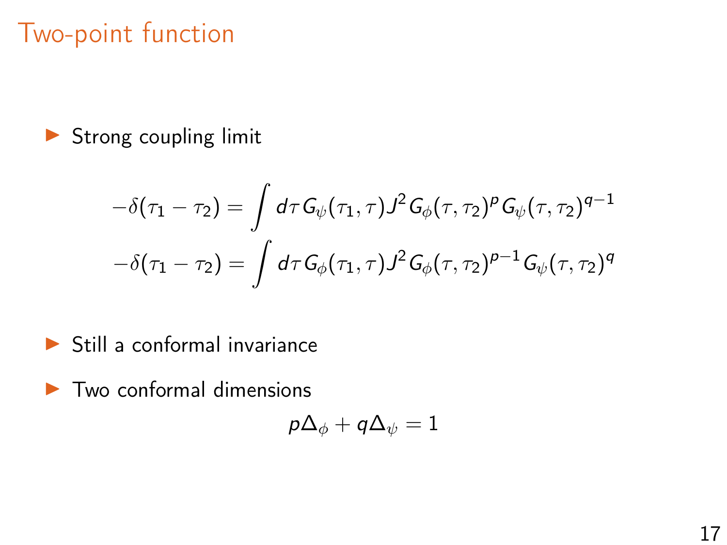$\blacktriangleright$  Strong coupling limit

$$
-\delta(\tau_1 - \tau_2) = \int d\tau G_{\psi}(\tau_1, \tau) J^2 G_{\phi}(\tau, \tau_2)^p G_{\psi}(\tau, \tau_2)^{q-1}
$$

$$
-\delta(\tau_1 - \tau_2) = \int d\tau G_{\phi}(\tau_1, \tau) J^2 G_{\phi}(\tau, \tau_2)^{p-1} G_{\psi}(\tau, \tau_2)^q
$$

- $\blacktriangleright$  Still a conformal invariance
- $\blacktriangleright$  Two conformal dimensions

$$
p\Delta_\phi+q\Delta_\psi=1
$$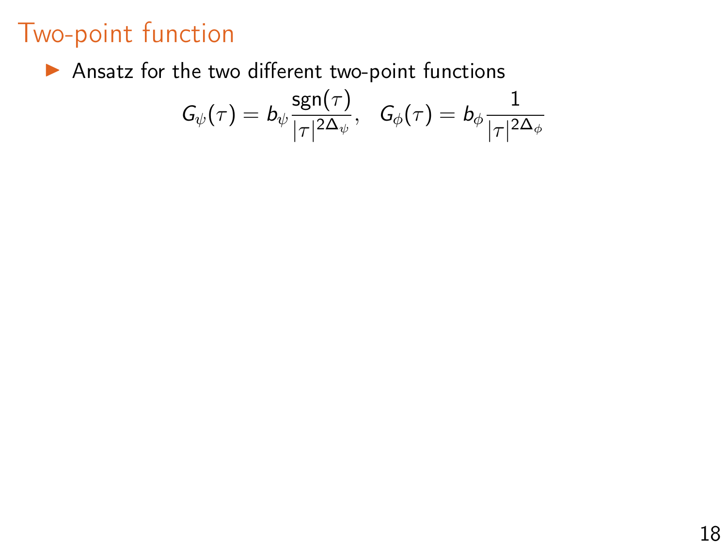$\blacktriangleright$  Ansatz for the two different two-point functions

$$
G_{\psi}(\tau)=b_{\psi}\frac{\operatorname{sgn}(\tau)}{|\tau|^{2\Delta_{\psi}}},\ \ \, G_{\phi}(\tau)=b_{\phi}\frac{1}{|\tau|^{2\Delta_{\phi}}}
$$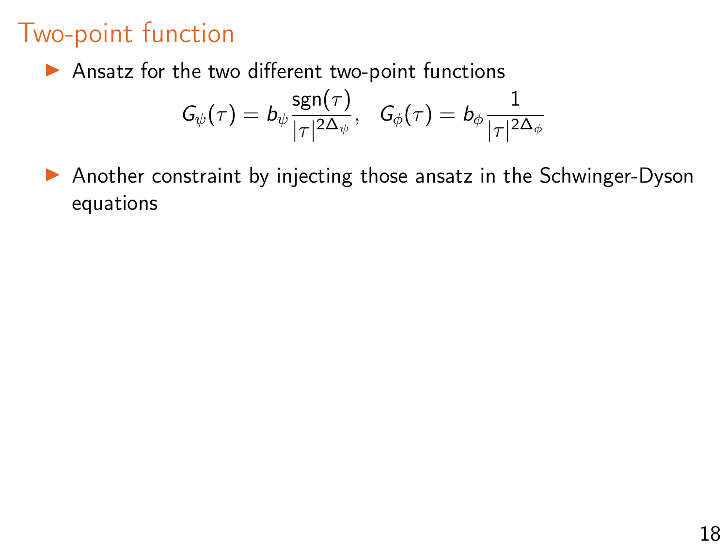$\blacktriangleright$  Ansatz for the two different two-point functions

$$
G_{\psi}(\tau)=b_{\psi}\frac{\operatorname{sgn}(\tau)}{|\tau|^{2{\Delta_\psi}}},\ \ \, G_{\phi}(\tau)=b_{\phi}\frac{1}{|\tau|^{2{\Delta_\phi}}}
$$

 $\triangleright$  Another constraint by injecting those ansatz in the Schwinger-Dyson equations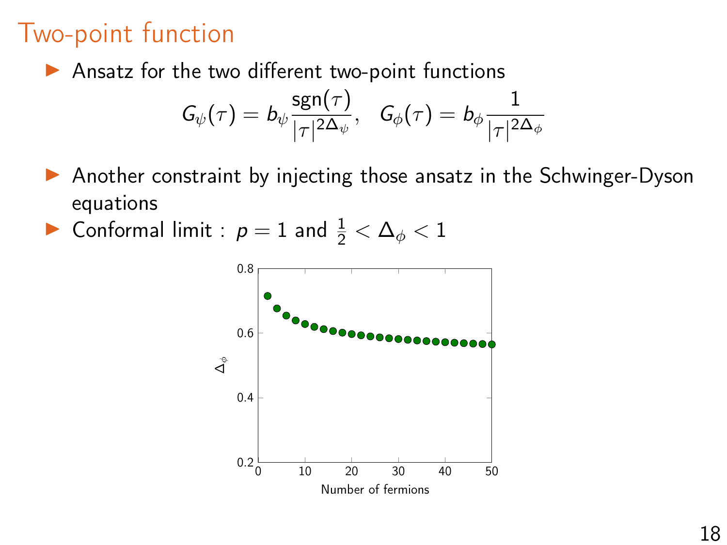$\blacktriangleright$  Ansatz for the two different two-point functions

$$
G_{\psi}(\tau)=b_{\psi}\frac{\operatorname{sgn}(\tau)}{|\tau|^{2{\Delta_\psi}}},\ \ \, G_{\phi}(\tau)=b_{\phi}\frac{1}{|\tau|^{2{\Delta_\phi}}}
$$

- $\triangleright$  Another constraint by injecting those ansatz in the Schwinger-Dyson equations
- ► Conformal limit :  $p = 1$  and  $\frac{1}{2} < \Delta_{\phi} < 1$

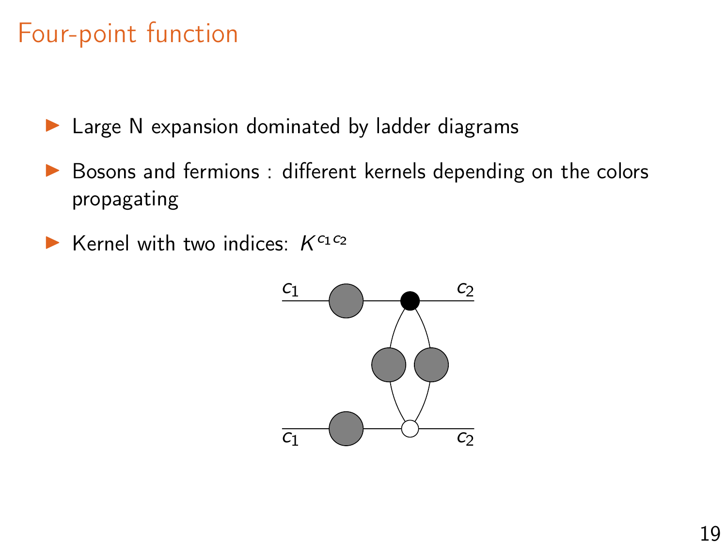## <span id="page-31-0"></span>Four-point function

- $\blacktriangleright$  Large N expansion dominated by ladder diagrams
- Bosons and fermions : different kernels depending on the colors propagating
- Externel with two indices:  $K^{c_1 c_2}$

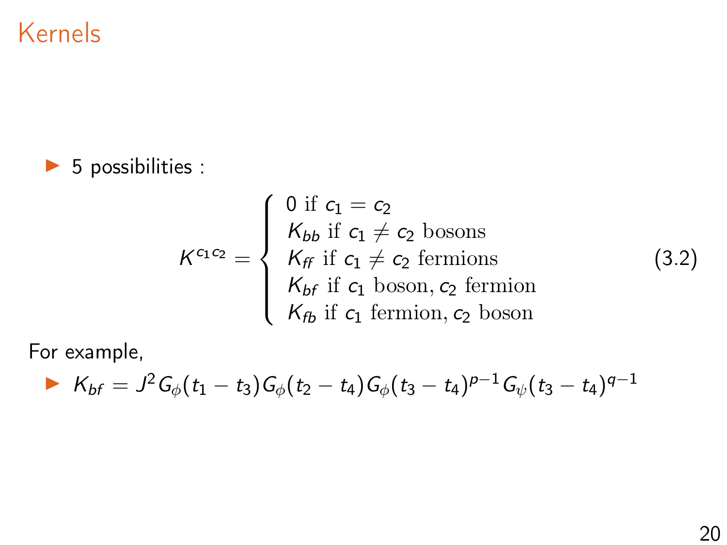#### Kernels

#### $\triangleright$  5 possibilities :

$$
K^{c_1 c_2} = \begin{cases} 0 \text{ if } c_1 = c_2 \\ K_{bb} \text{ if } c_1 \neq c_2 \text{ bosons} \\ K_{ff} \text{ if } c_1 \neq c_2 \text{ fermions} \\ K_{bf} \text{ if } c_1 \text{ boson, } c_2 \text{ fermion} \\ K_{fb} \text{ if } c_1 \text{ fermion, } c_2 \text{ boson} \end{cases}
$$

For example,

$$
K_{bf} = J^2 G_{\phi}(t_1 - t_3) G_{\phi}(t_2 - t_4) G_{\phi}(t_3 - t_4)^{p-1} G_{\psi}(t_3 - t_4)^{q-1}
$$

(3.2)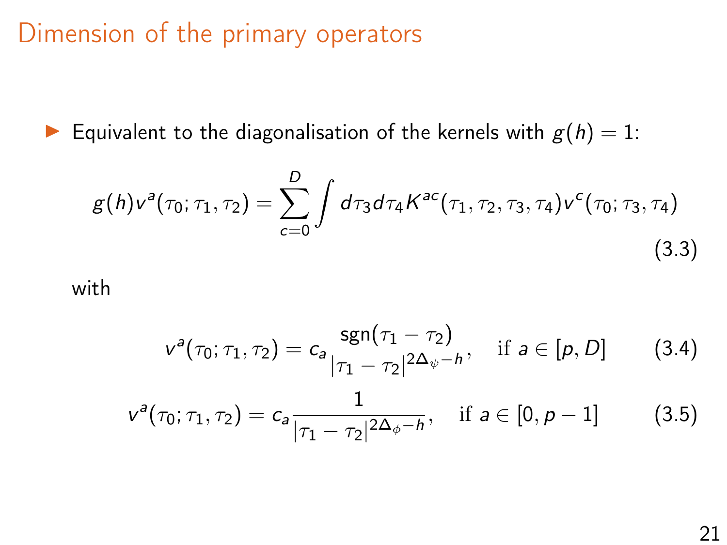#### Dimension of the primary operators

Equivalent to the diagonalisation of the kernels with  $g(h) = 1$ :

$$
g(h)v^{a}(\tau_{0};\tau_{1},\tau_{2})=\sum_{c=0}^{D}\int d\tau_{3}d\tau_{4}K^{ac}(\tau_{1},\tau_{2},\tau_{3},\tau_{4})v^{c}(\tau_{0};\tau_{3},\tau_{4})
$$
\n(3.3)

with

$$
v^{a}(\tau_{0};\tau_{1},\tau_{2})=c_{a}\frac{\operatorname{sgn}(\tau_{1}-\tau_{2})}{|\tau_{1}-\tau_{2}|^{2\Delta_{\psi}-h}},\quad\text{if}\,\,a\in[\rho,D]\qquad\qquad(3.4)
$$

$$
v^{a}(\tau_{0};\tau_{1},\tau_{2})=c_{a}\frac{1}{|\tau_{1}-\tau_{2}|^{2\Delta_{\phi}-h}},\quad\text{if}\,\,a\in[0,\rho-1]\qquad\qquad(3.5)
$$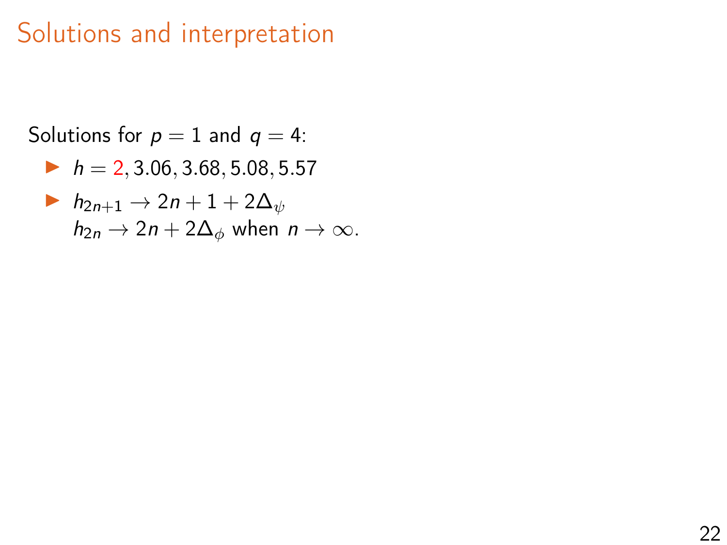# Solutions and interpretation

```
Solutions for p = 1 and q = 4:
  h = 2, 3.06, 3.68, 5.08, 5.57h_{2n+1} \rightarrow 2n+1+2\Delta_{\psi}h_{2n} \rightarrow 2n + 2\Delta_{\phi} when n \rightarrow \infty.
```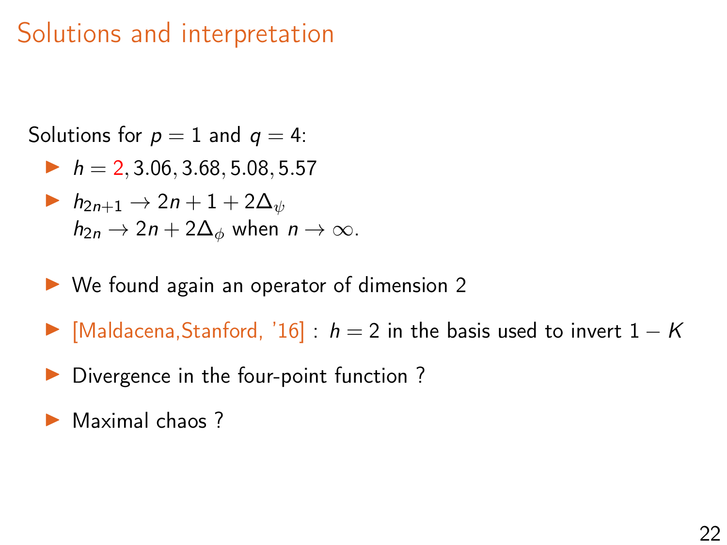# Solutions and interpretation

Solutions for  $p = 1$  and  $q = 4$ :

 $h = 2, 3.06, 3.68, 5.08, 5.57$ 

$$
\begin{aligned}\n\blacktriangleright & h_{2n+1} \to 2n+1+2\Delta_{\psi} \\
& h_{2n} \to 2n+2\Delta_{\phi} \text{ when } n \to \infty.\n\end{aligned}
$$

- $\triangleright$  We found again an operator of dimension 2
- $\triangleright$  [Maldacena,Stanford, '16] : h = 2 in the basis used to invert  $1 K$
- $\triangleright$  Divergence in the four-point function ?
- Maximal chaos ?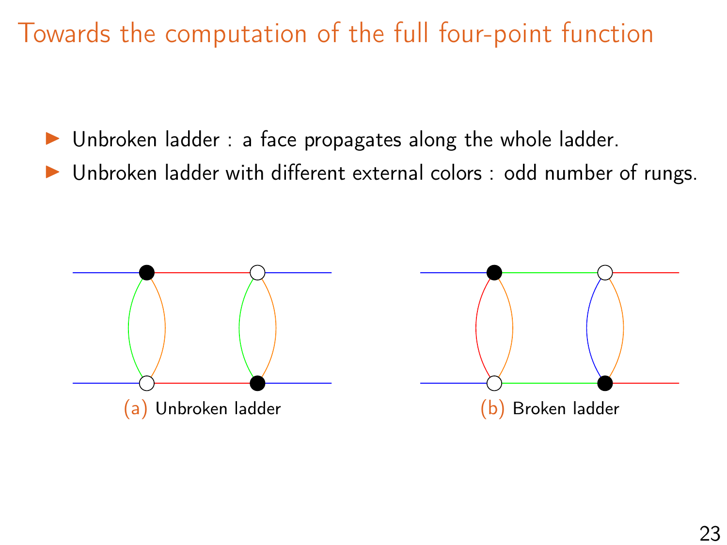Towards the computation of the full four-point function

- $\triangleright$  Unbroken ladder : a face propagates along the whole ladder.
- Unbroken ladder with different external colors : odd number of rungs.

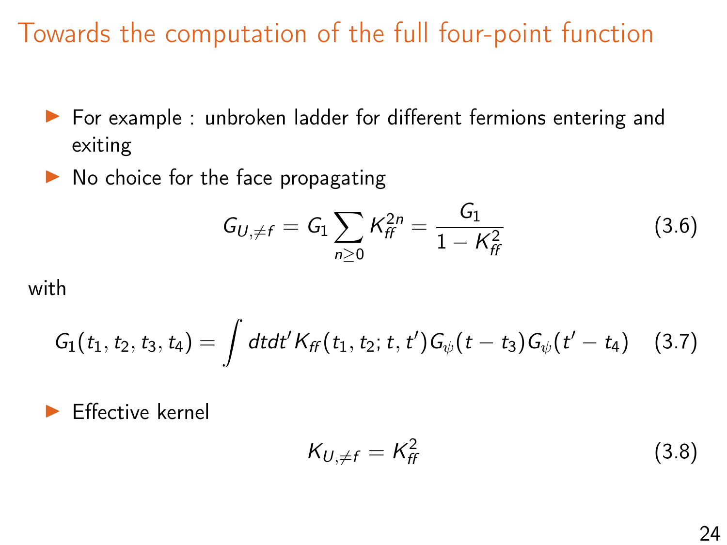# Towards the computation of the full four-point function

- ▶ For example : unbroken ladder for different fermions entering and exiting
- $\triangleright$  No choice for the face propagating

$$
G_{U,\neq f} = G_1 \sum_{n\geq 0} K_{ff}^{2n} = \frac{G_1}{1 - K_{ff}^2}
$$
 (3.6)

with

$$
G_1(t_1, t_2, t_3, t_4) = \int dt dt' K_{ff}(t_1, t_2; t, t') G_{\psi}(t - t_3) G_{\psi}(t' - t_4)
$$
 (3.7)

I Effective kernel

$$
K_{U,\neq f} = K_{ff}^2 \tag{3.8}
$$